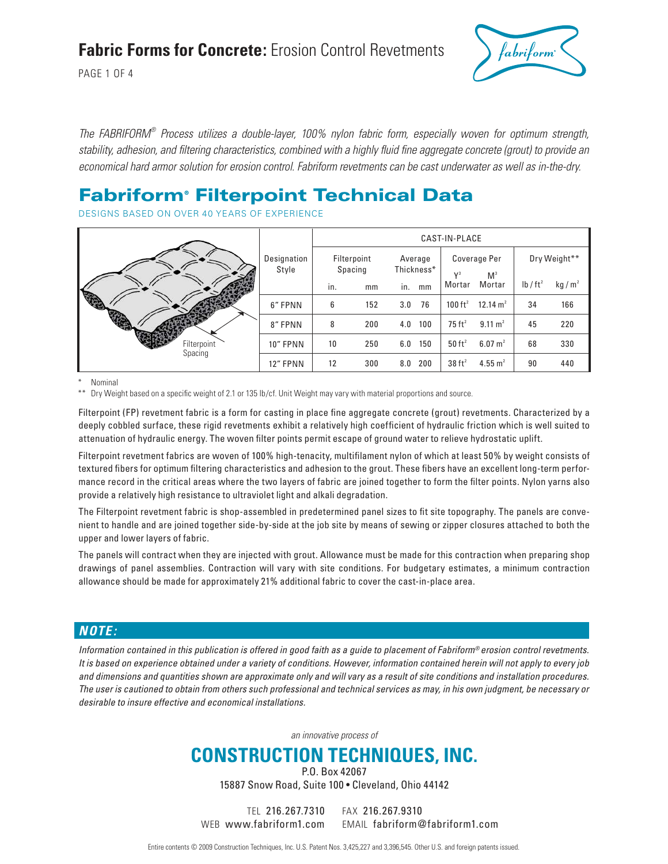### **Fabric Forms for Concrete:** Erosion Control Revetments

PAGE 1 OF 4



The FABRIFORM® Process utilizes a double-layer, 100% nylon fabric form, especially woven for optimum strength, stability, adhesion, and filtering characteristics, combined with a highly fluid fine aggregate concrete (grout) to provide an economical hard armor solution for erosion control. Fabriform revetments can be cast underwater as well as in-the-dry.

### Fabriform® Filterpoint Technical Data

DESIGNS BASED ON OVER 40 YEARS OF EXPERIENCE

|                |                      | CAST-IN-PLACE |                        |     |                       |                          |                       |                      |                   |  |
|----------------|----------------------|---------------|------------------------|-----|-----------------------|--------------------------|-----------------------|----------------------|-------------------|--|
|                | Designation<br>Style |               | Filterpoint<br>Spacing |     | Average<br>Thickness* |                          | Coverage Per<br>$V^3$ |                      | Dry Weight**      |  |
|                |                      | in.           | mm                     | in. | mm                    | M <sup>3</sup><br>Mortar | Mortar                | lb / ft <sup>2</sup> | kg/m <sup>2</sup> |  |
|                | 6" FPNN              | 6             | 152                    | 3.0 | 76                    | 100 $ft^2$               | 12.14 $m2$            | 34                   | 166               |  |
| <b>READERS</b> | 8" FPNN              | 8             | 200                    | 4.0 | 100                   | $75 \text{ ft}^2$        | $9.11 \text{ m}^2$    | 45                   | 220               |  |
| Filterpoint    | 10" FPNN             | 10            | 250                    | 6.0 | 150                   | $50$ ft <sup>2</sup>     | $6.07 \text{ m}^2$    | 68                   | 330               |  |
| Spacing        | 12" FPNN             | 12            | 300                    | 8.0 | 200                   | $38$ ft <sup>2</sup>     | 4.55 $m2$             | 90                   | 440               |  |

Nominal

Dry Weight based on a specific weight of 2.1 or 135 lb/cf. Unit Weight may vary with material proportions and source.

Filterpoint (FP) revetment fabric is a form for casting in place fine aggregate concrete (grout) revetments. Characterized by a deeply cobbled surface, these rigid revetments exhibit a relatively high coefficient of hydraulic friction which is well suited to attenuation of hydraulic energy. The woven filter points permit escape of ground water to relieve hydrostatic uplift.

Filterpoint revetment fabrics are woven of 100% high-tenacity, multifilament nylon of which at least 50% by weight consists of textured fibers for optimum filtering characteristics and adhesion to the grout. These fibers have an excellent long-term performance record in the critical areas where the two layers of fabric are joined together to form the filter points. Nylon yarns also provide a relatively high resistance to ultraviolet light and alkali degradation.

The Filterpoint revetment fabric is shop-assembled in predetermined panel sizes to fit site topography. The panels are convenient to handle and are joined together side-by-side at the job site by means of sewing or zipper closures attached to both the upper and lower layers of fabric.

The panels will contract when they are injected with grout. Allowance must be made for this contraction when preparing shop drawings of panel assemblies. Contraction will vary with site conditions. For budgetary estimates, a minimum contraction allowance should be made for approximately 21% additional fabric to cover the cast-in-place area.

### **NOTE:**

Information contained in this publication is offered in good faith as a guide to placement of Fabriform<sup>®</sup> erosion control revetments. It is based on experience obtained under a variety of conditions. However, information contained herein will not apply to every job and dimensions and quantities shown are approximate only and will vary as a result of site conditions and installation procedures. The user is cautioned to obtain from others such professional and technical services as may, in his own judgment, be necessary or desirable to insure effective and economical installations.

an innovative process of

### **CONSTRUCTION TECHNIQUES, INC.**

P.O. Box 42067 15887 Snow Road, Suite 100 • Cleveland, Ohio 44142

TEL 216.267.7310 FAX 216.267.9310

WEB www.fabriform1.com EMAIL fabriform@fabriform1.com

Entire contents © 2009 Construction Techniques, Inc. U.S. Patent Nos. 3,425,227 and 3,396,545. Other U.S. and foreign patents issued.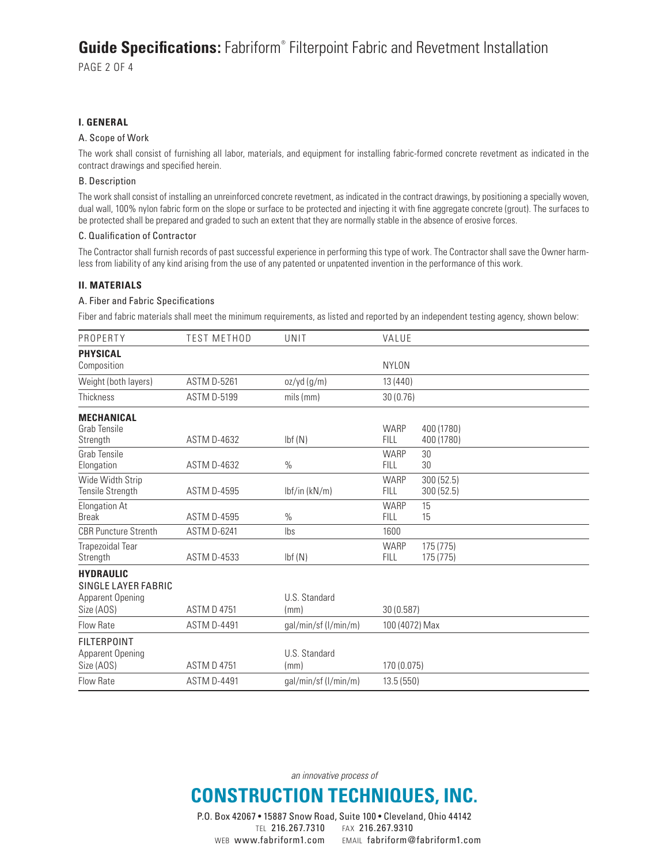### **Guide Specifications:** Fabriform® Filterpoint Fabric and Revetment Installation

PAGE 2 OF 4

#### **I. GENERAL**

#### A. Scope of Work

The work shall consist of furnishing all labor, materials, and equipment for installing fabric-formed concrete revetment as indicated in the contract drawings and specified herein.

#### B. Description

The work shall consist of installing an unreinforced concrete revetment, as indicated in the contract drawings, by positioning a specially woven, dual wall, 100% nylon fabric form on the slope or surface to be protected and injecting it with fine aggregate concrete (grout). The surfaces to be protected shall be prepared and graded to such an extent that they are normally stable in the absence of erosive forces.

#### C. Qualification of Contractor

The Contractor shall furnish records of past successful experience in performing this type of work. The Contractor shall save the Owner harmless from liability of any kind arising from the use of any patented or unpatented invention in the performance of this work.

#### **II. MATERIALS**

#### A. Fiber and Fabric Specifications

Fiber and fabric materials shall meet the minimum requirements, as listed and reported by an independent testing agency, shown below:

| PROPERTY                                                                  | <b>TEST METHOD</b> | UNIT                  | VALUE                                  |                          |  |
|---------------------------------------------------------------------------|--------------------|-----------------------|----------------------------------------|--------------------------|--|
| <b>PHYSICAL</b><br>Composition                                            |                    |                       | <b>NYLON</b>                           |                          |  |
| Weight (both layers)                                                      | <b>ASTM D-5261</b> | oz/yd (g/m)           | 13 (440)                               |                          |  |
| <b>Thickness</b>                                                          | <b>ASTM D-5199</b> | mils (mm)             | 30(0.76)                               |                          |  |
| <b>MECHANICAL</b><br><b>Grab Tensile</b><br>Strength                      | <b>ASTM D-4632</b> | Ibf(N)                | WARP<br><b>FILL</b>                    | 400 (1780)<br>400 (1780) |  |
| Grab Tensile<br>Elongation                                                | <b>ASTM D-4632</b> | $\%$                  | <b>WARP</b><br>30<br><b>FILL</b><br>30 |                          |  |
| Wide Width Strip<br>Tensile Strength                                      | <b>ASTM D-4595</b> | lbf/in (kN/m)         | <b>WARP</b><br><b>FILL</b>             | 300 (52.5)<br>300(52.5)  |  |
| <b>Elongation At</b><br><b>Break</b>                                      | <b>ASTM D-4595</b> | $\%$                  | <b>WARP</b><br>15<br><b>FILL</b><br>15 |                          |  |
| <b>CBR Puncture Strenth</b>                                               | <b>ASTM D-6241</b> | Ibs                   | 1600                                   |                          |  |
| Trapezoidal Tear<br>Strength                                              | <b>ASTM D-4533</b> | Ibf(N)                | WARP<br><b>FILL</b>                    | 175 (775)<br>175 (775)   |  |
| <b>HYDRAULIC</b><br>SINGLE LAYER FABRIC<br>Apparent Opening<br>Size (AOS) | <b>ASTM D 4751</b> | U.S. Standard<br>(mm) | 30 (0.587)                             |                          |  |
| <b>Flow Rate</b>                                                          | <b>ASTM D-4491</b> | gal/min/sf (l/min/m)  | 100 (4072) Max                         |                          |  |
| <b>FILTERPOINT</b><br>Apparent Opening<br>Size (AOS)                      | <b>ASTM D 4751</b> | U.S. Standard<br>(mm) | 170 (0.075)                            |                          |  |
| Flow Rate                                                                 | <b>ASTM D-4491</b> | gal/min/sf (l/min/m)  | 13.5(550)                              |                          |  |

an innovative process of

## **CONSTRUCTION TECHNIQUES, INC.**

P.O. Box 42067 • 15887 Snow Road, Suite 100 • Cleveland, Ohio 44142 TEL 216.267.7310 FAX 216.267.9310 WEB www.fabriform1.com EMAIL fabriform@fabriform1.com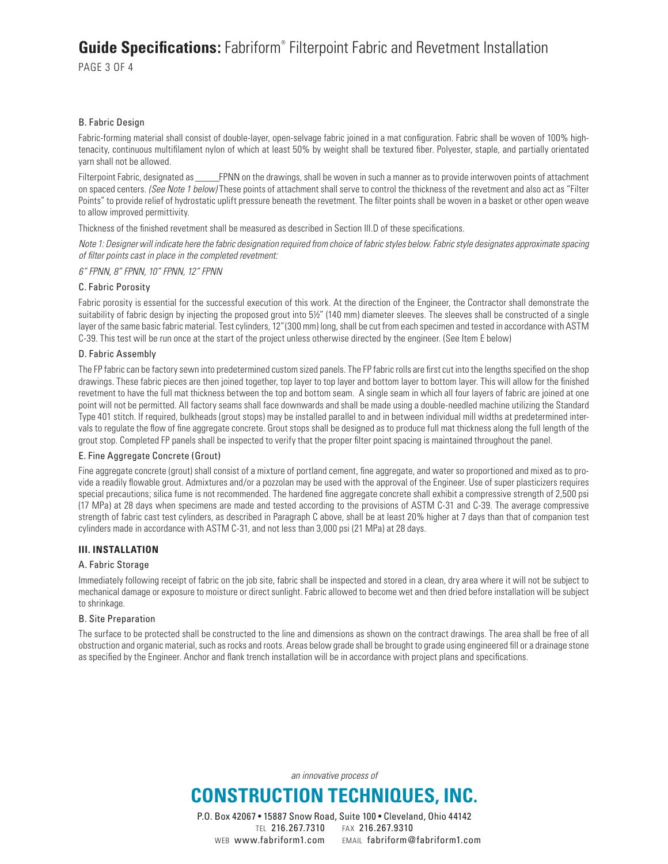### **Guide Specifications:** Fabriform® Filterpoint Fabric and Revetment Installation

PAGE 3 OF 4

#### B. Fabric Design

Fabric-forming material shall consist of double-layer, open-selvage fabric joined in a mat configuration. Fabric shall be woven of 100% hightenacity, continuous multifilament nylon of which at least 50% by weight shall be textured fiber. Polyester, staple, and partially orientated yarn shall not be allowed.

Filterpoint Fabric, designated as FPNN on the drawings, shall be woven in such a manner as to provide interwoven points of attachment on spaced centers. (See Note 1 below) These points of attachment shall serve to control the thickness of the revetment and also act as "Filter Points" to provide relief of hydrostatic uplift pressure beneath the revetment. The filter points shall be woven in a basket or other open weave to allow improved permittivity.

Thickness of the finished revetment shall be measured as described in Section III.D of these specifications.

Note 1: Designer will indicate here the fabric designation required from choice of fabric styles below. Fabric style designates approximate spacing of filter points cast in place in the completed revetment:

6" FPNN, 8" FPNN, 10" FPNN, 12" FPNN

#### C. Fabric Porosity

Fabric porosity is essential for the successful execution of this work. At the direction of the Engineer, the Contractor shall demonstrate the suitability of fabric design by injecting the proposed grout into 5½" (140 mm) diameter sleeves. The sleeves shall be constructed of a single layer of the same basic fabric material. Test cylinders, 12"(300 mm) long, shall be cut from each specimen and tested in accordance with ASTM C-39. This test will be run once at the start of the project unless otherwise directed by the engineer. (See Item E below)

#### D. Fabric Assembly

The FP fabric can be factory sewn into predetermined custom sized panels. The FP fabric rolls are first cut into the lengths specified on the shop drawings. These fabric pieces are then joined together, top layer to top layer and bottom layer to bottom layer. This will allow for the finished revetment to have the full mat thickness between the top and bottom seam. A single seam in which all four layers of fabric are joined at one point will not be permitted. All factory seams shall face downwards and shall be made using a double-needled machine utilizing the Standard Type 401 stitch. If required, bulkheads (grout stops) may be installed parallel to and in between individual mill widths at predetermined intervals to regulate the flow of fine aggregate concrete. Grout stops shall be designed as to produce full mat thickness along the full length of the grout stop. Completed FP panels shall be inspected to verify that the proper filter point spacing is maintained throughout the panel.

#### E. Fine Aggregate Concrete (Grout)

Fine aggregate concrete (grout) shall consist of a mixture of portland cement, fine aggregate, and water so proportioned and mixed as to provide a readily flowable grout. Admixtures and/or a pozzolan may be used with the approval of the Engineer. Use of super plasticizers requires special precautions; silica fume is not recommended. The hardened fine aggregate concrete shall exhibit a compressive strength of 2,500 psi (17 MPa) at 28 days when specimens are made and tested according to the provisions of ASTM C-31 and C-39. The average compressive strength of fabric cast test cylinders, as described in Paragraph C above, shall be at least 20% higher at 7 days than that of companion test cylinders made in accordance with ASTM C-31, and not less than 3,000 psi (21 MPa) at 28 days.

#### **III. INSTALLATION**

#### A. Fabric Storage

Immediately following receipt of fabric on the job site, fabric shall be inspected and stored in a clean, dry area where it will not be subject to mechanical damage or exposure to moisture or direct sunlight. Fabric allowed to become wet and then dried before installation will be subject to shrinkage.

#### B. Site Preparation

The surface to be protected shall be constructed to the line and dimensions as shown on the contract drawings. The area shall be free of all obstruction and organic material, such as rocks and roots. Areas below grade shall be brought to grade using engineered fill or a drainage stone as specified by the Engineer. Anchor and flank trench installation will be in accordance with project plans and specifications.

an innovative process of

# **CONSTRUCTION TECHNIQUES, INC.**

P.O. Box 42067 • 15887 Snow Road, Suite 100 • Cleveland, Ohio 44142 TEL 216.267.7310 FAX 216.267.9310 WEB www.fabriform1.com EMAIL fabriform@fabriform1.com